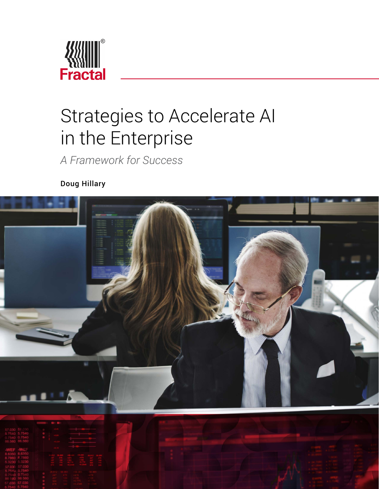

# Strategies to Accelerate AI in the Enterprise

*A Framework for Success*

Doug Hillary

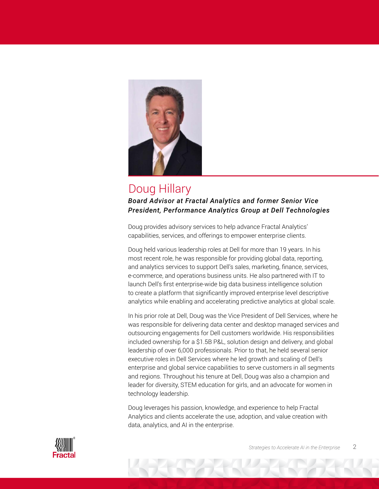

### Doug Hillary *Board Advisor at Fractal Analytics and former Senior Vice President, Performance Analytics Group at Dell Technologies*

Doug provides advisory services to help advance Fractal Analytics' capabilities, services, and offerings to empower enterprise clients.

Doug held various leadership roles at Dell for more than 19 years. In his most recent role, he was responsible for providing global data, reporting, and analytics services to support Dell's sales, marketing, finance, services, e-commerce, and operations business units. He also partnered with IT to launch Dell's first enterprise-wide big data business intelligence solution to create a platform that significantly improved enterprise level descriptive analytics while enabling and accelerating predictive analytics at global scale.

In his prior role at Dell, Doug was the Vice President of Dell Services, where he was responsible for delivering data center and desktop managed services and outsourcing engagements for Dell customers worldwide. His responsibilities included ownership for a \$1.5B P&L, solution design and delivery, and global leadership of over 6,000 professionals. Prior to that, he held several senior executive roles in Dell Services where he led growth and scaling of Dell's enterprise and global service capabilities to serve customers in all segments and regions. Throughout his tenure at Dell, Doug was also a champion and leader for diversity, STEM education for girls, and an advocate for women in technology leadership.

Doug leverages his passion, knowledge, and experience to help Fractal Analytics and clients accelerate the use, adoption, and value creation with data, analytics, and AI in the enterprise.

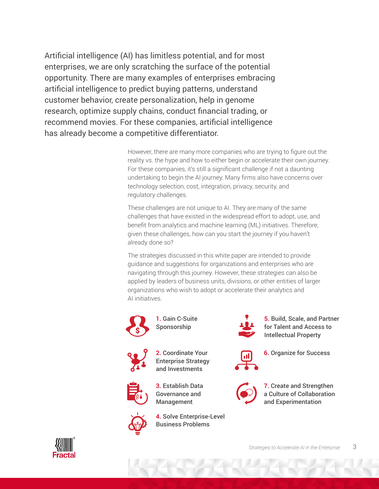Artificial intelligence (AI) has limitless potential, and for most enterprises, we are only scratching the surface of the potential opportunity. There are many examples of enterprises embracing artificial intelligence to predict buying patterns, understand customer behavior, create personalization, help in genome research, optimize supply chains, conduct financial trading, or recommend movies. For these companies, artificial intelligence has already become a competitive differentiator.

> However, there are many more companies who are trying to figure out the reality vs. the hype and how to either begin or accelerate their own journey. For these companies, it's still a significant challenge if not a daunting undertaking to begin the AI journey. Many firms also have concerns over technology selection, cost, integration, privacy, security, and regulatory challenges.

These challenges are not unique to AI. They are many of the same challenges that have existed in the widespread effort to adopt, use, and benefit from analytics and machine learning (ML) initiatives. Therefore, given these challenges, how can you start the journey if you haven't already done so?

The strategies discussed in this white paper are intended to provide guidance and suggestions for organizations and enterprises who are navigating through this journey. However, these strategies can also be applied by leaders of business units, divisions, or other entities of larger organizations who wish to adopt or accelerate their analytics and AI initiatives.



**1.** Gain C-Suite Sponsorship



**2.** Coordinate Your Enterprise Strategy and Investments



**3.** Establish Data Governance and Management



**4.** Solve Enterprise-Level Business Problems



**5.** Build, Scale, and Partner for Talent and Access to Intellectual Property



**6.** Organize for Success



**7.** Create and Strengthen a Culture of Collaboration and Experimentation

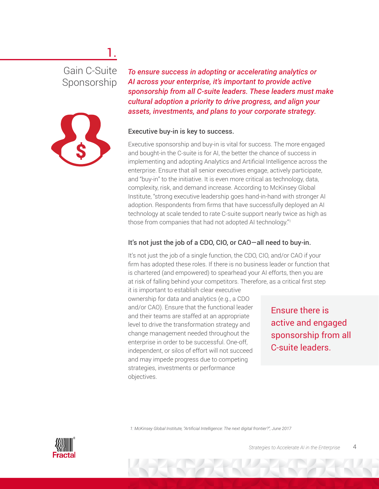# Gain C-Suite Sponsorship

1.



*To ensure success in adopting or accelerating analytics or AI across your enterprise, it's important to provide active sponsorship from all C-suite leaders. These leaders must make cultural adoption a priority to drive progress, and align your assets, investments, and plans to your corporate strategy.* 

#### Executive buy-in is key to success.

Executive sponsorship and buy-in is vital for success. The more engaged and bought-in the C-suite is for AI, the better the chance of success in implementing and adopting Analytics and Artificial Intelligence across the enterprise. Ensure that all senior executives engage, actively participate, and "buy-in" to the initiative. It is even more critical as technology, data, complexity, risk, and demand increase. According to McKinsey Global Institute, "strong executive leadership goes hand-in-hand with stronger AI adoption. Respondents from firms that have successfully deployed an AI technology at scale tended to rate C-suite support nearly twice as high as those from companies that had not adopted AI technology."1

#### It's not just the job of a CDO, CIO, or CAO—all need to buy-in.

It's not just the job of a single function, the CDO, CIO, and/or CAO if your firm has adopted these roles. If there is no business leader or function that is chartered (and empowered) to spearhead your AI efforts, then you are at risk of falling behind your competitors. Therefore, as a critical first step it is important to establish clear executive ownership for data and analytics (e.g., a CDO and/or CAO). Ensure that the functional leader and their teams are staffed at an appropriate level to drive the transformation strategy and change management needed throughout the

enterprise in order to be successful. One-off, independent, or silos of effort will not succeed and may impede progress due to competing strategies, investments or performance

Ensure there is active and engaged sponsorship from all C-suite leaders.

 *1: McKinsey Global Institute, "Artificial Intelligence: The next digital frontier?", June 2017*

objectives.

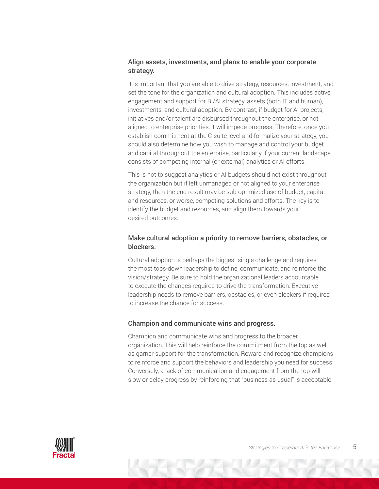#### Align assets, investments, and plans to enable your corporate strategy.

It is important that you are able to drive strategy, resources, investment, and set the tone for the organization and cultural adoption. This includes active engagement and support for BI/AI strategy, assets (both IT and human), investments, and cultural adoption. By contrast, if budget for AI projects, initiatives and/or talent are disbursed throughout the enterprise, or not aligned to enterprise priorities, it will impede progress. Therefore, once you establish commitment at the C-suite level and formalize your strategy, you should also determine how you wish to manage and control your budget and capital throughout the enterprise, particularly if your current landscape consists of competing internal (or external) analytics or AI efforts.

This is not to suggest analytics or AI budgets should not exist throughout the organization but if left unmanaged or not aligned to your enterprise strategy, then the end result may be sub-optimized use of budget, capital and resources, or worse, competing solutions and efforts. The key is to identify the budget and resources, and align them towards your desired outcomes.

#### Make cultural adoption a priority to remove barriers, obstacles, or blockers.

Cultural adoption is perhaps the biggest single challenge and requires the most tops-down leadership to define, communicate, and reinforce the vision/strategy. Be sure to hold the organizational leaders accountable to execute the changes required to drive the transformation. Executive leadership needs to remove barriers, obstacles, or even blockers if required to increase the chance for success.

#### Champion and communicate wins and progress.

Champion and communicate wins and progress to the broader organization. This will help reinforce the commitment from the top as well as garner support for the transformation. Reward and recognize champions to reinforce and support the behaviors and leadership you need for success. Conversely, a lack of communication and engagement from the top will slow or delay progress by reinforcing that "business as usual" is acceptable.

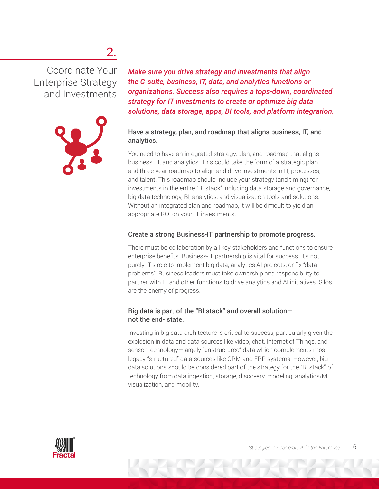# 2.

Coordinate Your Enterprise Strategy and Investments



*Make sure you drive strategy and investments that align the C-suite, business, IT, data, and analytics functions or organizations. Success also requires a tops-down, coordinated strategy for IT investments to create or optimize big data solutions, data storage, apps, BI tools, and platform integration.* 

#### Have a strategy, plan, and roadmap that aligns business, IT, and analytics.

You need to have an integrated strategy, plan, and roadmap that aligns business, IT, and analytics. This could take the form of a strategic plan and three-year roadmap to align and drive investments in IT, processes, and talent. This roadmap should include your strategy (and timing) for investments in the entire "BI stack" including data storage and governance, big data technology, BI, analytics, and visualization tools and solutions. Without an integrated plan and roadmap, it will be difficult to yield an appropriate ROI on your IT investments.

#### Create a strong Business-IT partnership to promote progress.

There must be collaboration by all key stakeholders and functions to ensure enterprise benefits. Business-IT partnership is vital for success. It's not purely IT's role to implement big data, analytics AI projects, or fix "data problems". Business leaders must take ownership and responsibility to partner with IT and other functions to drive analytics and AI initiatives. Silos are the enemy of progress.

#### Big data is part of the "BI stack" and overall solution not the end- state.

Investing in big data architecture is critical to success, particularly given the explosion in data and data sources like video, chat, Internet of Things, and sensor technology—largely "unstructured" data which complements most legacy "structured" data sources like CRM and ERP systems. However, big data solutions should be considered part of the strategy for the "BI stack" of technology from data ingestion, storage, discovery, modeling, analytics/ML, visualization, and mobility.

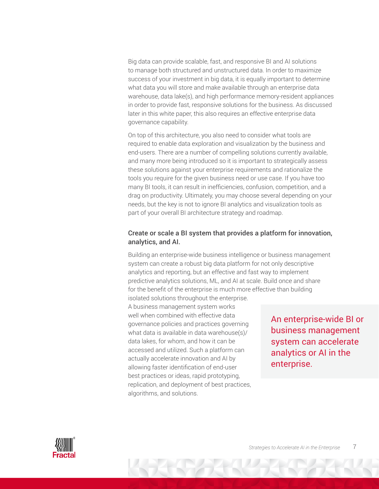Big data can provide scalable, fast, and responsive BI and AI solutions to manage both structured and unstructured data. In order to maximize success of your investment in big data, it is equally important to determine what data you will store and make available through an enterprise data warehouse, data lake(s), and high performance memory-resident appliances in order to provide fast, responsive solutions for the business. As discussed later in this white paper, this also requires an effective enterprise data governance capability.

On top of this architecture, you also need to consider what tools are required to enable data exploration and visualization by the business and end-users. There are a number of compelling solutions currently available, and many more being introduced so it is important to strategically assess these solutions against your enterprise requirements and rationalize the tools you require for the given business need or use case. If you have too many BI tools, it can result in inefficiencies, confusion, competition, and a drag on productivity. Ultimately, you may choose several depending on your needs, but the key is not to ignore BI analytics and visualization tools as part of your overall BI architecture strategy and roadmap.

#### Create or scale a BI system that provides a platform for innovation, analytics, and AI.

Building an enterprise-wide business intelligence or business management system can create a robust big data platform for not only descriptive analytics and reporting, but an effective and fast way to implement predictive analytics solutions, ML, and AI at scale. Build once and share for the benefit of the enterprise is much more effective than building

isolated solutions throughout the enterprise. A business management system works well when combined with effective data governance policies and practices governing what data is available in data warehouse(s)/ data lakes, for whom, and how it can be accessed and utilized. Such a platform can actually accelerate innovation and AI by allowing faster identification of end-user best practices or ideas, rapid prototyping, replication, and deployment of best practices, algorithms, and solutions.

An enterprise-wide BI or business management system can accelerate analytics or AI in the enterprise.

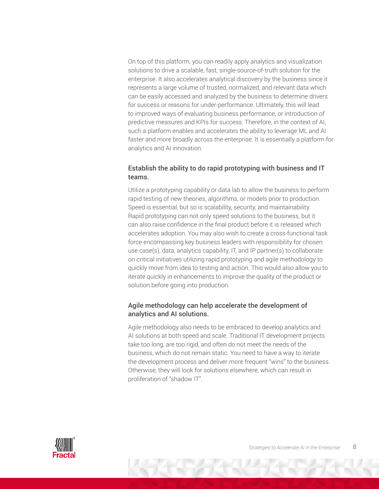On top of this platform, you can readily apply analytics and visualization solutions to drive a scalable, fast, single-source-of-truth solution for the enterprise. It also accelerates analytical discovery by the business since it represents a large volume of trusted, normalized, and relevant data which can be easily accessed and analyzed by the business to determine drivers for success or reasons for under-performance. Ultimately, this will lead to improved ways of evaluating business performance, or introduction of predictive measures and KPIs for success. Therefore, in the context of AI, such a platform enables and accelerates the ability to leverage ML and AI faster and more broadly across the enterprise. It is essentially a platform for analytics and AI innovation.

#### Establish the ability to do rapid prototyping with business and IT teams.

Utilize a prototyping capability or data lab to allow the business to perform rapid testing of new theories, algorithms, or models prior to production. Speed is essential, but so is scalability, security, and maintainability. Rapid prototyping can not only speed solutions to the business, but it can also raise confidence in the final product before it is released which accelerates adoption. You may also wish to create a cross-functional task force encompassing key business leaders with responsibility for chosen use case(s), data, analytics capability, IT, and IP partner(s) to collaborate on critical initiatives utilizing rapid prototyping and agile methodology to quickly move from idea to testing and action. This would also allow you to iterate quickly in enhancements to improve the quality of the product or solution before going into production.

#### Agile methodology can help accelerate the development of analytics and AI solutions.

Agile methodology also needs to be embraced to develop analytics and AI solutions at both speed and scale. Traditional IT development projects take too long, are too rigid, and often do not meet the needs of the business, which do not remain static. You need to have a way to iterate the development process and deliver more frequent "wins" to the business. Otherwise, they will look for solutions elsewhere, which can result in proliferation of "shadow IT".

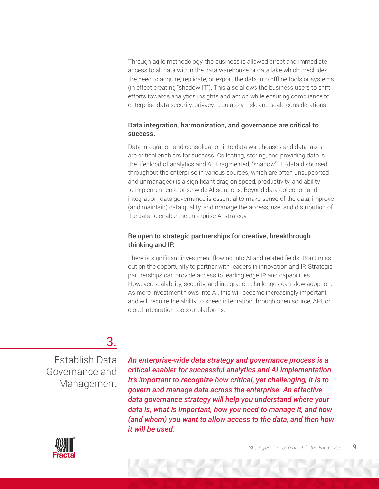Through agile methodology, the business is allowed direct and immediate access to all data within the data warehouse or data lake which precludes the need to acquire, replicate, or export the data into offline tools or systems (in effect creating "shadow IT"). This also allows the business users to shift efforts towards analytics insights and action while ensuring compliance to enterprise data security, privacy, regulatory, risk, and scale considerations.

#### Data integration, harmonization, and governance are critical to success.

Data integration and consolidation into data warehouses and data lakes are critical enablers for success. Collecting, storing, and providing data is the lifeblood of analytics and AI. Fragmented, "shadow" IT (data disbursed throughout the enterprise in various sources, which are often unsupported and unmanaged) is a significant drag on speed, productivity, and ability to implement enterprise-wide AI solutions. Beyond data collection and integration, data governance is essential to make sense of the data, improve (and maintain) data quality, and manage the access, use, and distribution of the data to enable the enterprise AI strategy.

#### Be open to strategic partnerships for creative, breakthrough thinking and IP.

There is significant investment flowing into AI and related fields. Don't miss out on the opportunity to partner with leaders in innovation and IP. Strategic partnerships can provide access to leading edge IP and capabilities. However, scalability, security, and integration challenges can slow adoption. As more investment flows into AI, this will become increasingly important and will require the ability to speed integration through open source, API, or cloud integration tools or platforms.

### 3.

Establish Data Governance and Management

*An enterprise-wide data strategy and governance process is a critical enabler for successful analytics and AI implementation. It's important to recognize how critical, yet challenging, it is to govern and manage data across the enterprise. An effective data governance strategy will help you understand where your data is, what is important, how you need to manage it, and how (and whom) you want to allow access to the data, and then how it will be used.*

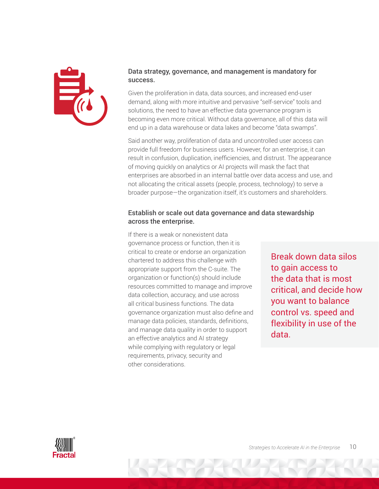

#### Data strategy, governance, and management is mandatory for success.

Given the proliferation in data, data sources, and increased end-user demand, along with more intuitive and pervasive "self-service" tools and solutions, the need to have an effective data governance program is becoming even more critical. Without data governance, all of this data will end up in a data warehouse or data lakes and become "data swamps".

Said another way, proliferation of data and uncontrolled user access can provide full freedom for business users. However, for an enterprise, it can result in confusion, duplication, inefficiencies, and distrust. The appearance of moving quickly on analytics or AI projects will mask the fact that enterprises are absorbed in an internal battle over data access and use, and not allocating the critical assets (people, process, technology) to serve a broader purpose—the organization itself, it's customers and shareholders.

#### Establish or scale out data governance and data stewardship across the enterprise.

If there is a weak or nonexistent data governance process or function, then it is critical to create or endorse an organization chartered to address this challenge with appropriate support from the C-suite. The organization or function(s) should include resources committed to manage and improve data collection, accuracy, and use across all critical business functions. The data governance organization must also define and manage data policies, standards, definitions, and manage data quality in order to support an effective analytics and AI strategy while complying with regulatory or legal requirements, privacy, security and other considerations.

Break down data silos to gain access to the data that is most critical, and decide how you want to balance control vs. speed and flexibility in use of the data.

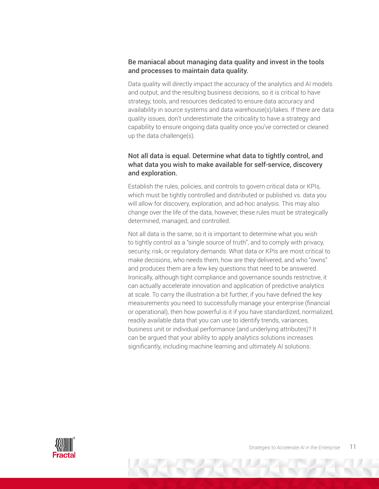#### Be maniacal about managing data quality and invest in the tools and processes to maintain data quality.

Data quality will directly impact the accuracy of the analytics and AI models and output, and the resulting business decisions, so it is critical to have strategy, tools, and resources dedicated to ensure data accuracy and availability in source systems and data warehouse(s)/lakes. If there are data quality issues, don't underestimate the criticality to have a strategy and capability to ensure ongoing data quality once you've corrected or cleaned up the data challenge(s).

#### Not all data is equal. Determine what data to tightly control, and what data you wish to make available for self-service, discovery and exploration.

Establish the rules, policies, and controls to govern critical data or KPIs, which must be tightly controlled and distributed or published vs. data you will allow for discovery, exploration, and ad-hoc analysis. This may also change over the life of the data, however, these rules must be strategically determined, managed, and controlled.

Not all data is the same, so it is important to determine what you wish to tightly control as a "single source of truth", and to comply with privacy, security, risk, or regulatory demands. What data or KPIs are most critical to make decisions, who needs them, how are they delivered, and who "owns" and produces them are a few key questions that need to be answered. Ironically, although tight compliance and governance sounds restrictive, it can actually accelerate innovation and application of predictive analytics at scale. To carry the illustration a bit further, if you have defined the key measurements you need to successfully manage your enterprise (financial or operational), then how powerful is it if you have standardized, normalized, readily available data that you can use to identify trends, variances, business unit or individual performance (and underlying attributes)? It can be argued that your ability to apply analytics solutions increases significantly, including machine learning and ultimately AI solutions.

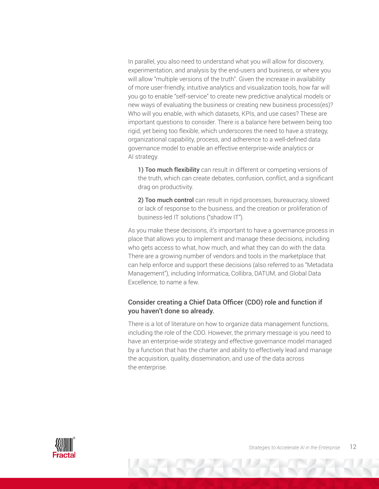In parallel, you also need to understand what you will allow for discovery, experimentation, and analysis by the end-users and business, or where you will allow "multiple versions of the truth". Given the increase in availability of more user-friendly, intuitive analytics and visualization tools, how far will you go to enable "self-service" to create new predictive analytical models or new ways of evaluating the business or creating new business process(es)? Who will you enable, with which datasets, KPIs, and use cases? These are important questions to consider. There is a balance here between being too rigid, yet being too flexible, which underscores the need to have a strategy, organizational capability, process, and adherence to a well-defined data governance model to enable an effective enterprise-wide analytics or AI strategy.

1) Too much flexibility can result in different or competing versions of the truth, which can create debates, confusion, conflict, and a significant drag on productivity.

2) Too much control can result in rigid processes, bureaucracy, slowed or lack of response to the business, and the creation or proliferation of business-led IT solutions ("shadow IT").

As you make these decisions, it's important to have a governance process in place that allows you to implement and manage these decisions, including who gets access to what, how much, and what they can do with the data. There are a growing number of vendors and tools in the marketplace that can help enforce and support these decisions (also referred to as "Metadata Management"), including Informatica, Collibra, DATUM, and Global Data Excellence, to name a few.

#### Consider creating a Chief Data Officer (CDO) role and function if you haven't done so already.

There is a lot of literature on how to organize data management functions, including the role of the CDO. However, the primary message is you need to have an enterprise-wide strategy and effective governance model managed by a function that has the charter and ability to effectively lead and manage the acquisition, quality, dissemination, and use of the data across the enterprise.

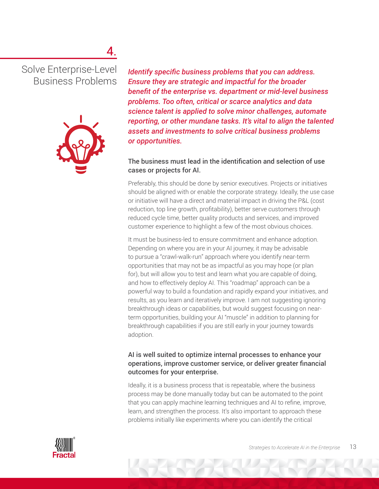# 4.

Solve Enterprise-Level Business Problems



*Identify specific business problems that you can address. Ensure they are strategic and impactful for the broader benefit of the enterprise vs. department or mid-level business problems. Too often, critical or scarce analytics and data science talent is applied to solve minor challenges, automate reporting, or other mundane tasks. It's vital to align the talented assets and investments to solve critical business problems or opportunities.*

#### The business must lead in the identification and selection of use cases or projects for AI.

Preferably, this should be done by senior executives. Projects or initiatives should be aligned with or enable the corporate strategy. Ideally, the use case or initiative will have a direct and material impact in driving the P&L (cost reduction, top line growth, profitability), better serve customers through reduced cycle time, better quality products and services, and improved customer experience to highlight a few of the most obvious choices.

It must be business-led to ensure commitment and enhance adoption. Depending on where you are in your AI journey, it may be advisable to pursue a "crawl-walk-run" approach where you identify near-term opportunities that may not be as impactful as you may hope (or plan for), but will allow you to test and learn what you are capable of doing, and how to effectively deploy AI. This "roadmap" approach can be a powerful way to build a foundation and rapidly expand your initiatives, and results, as you learn and iteratively improve. I am not suggesting ignoring breakthrough ideas or capabilities, but would suggest focusing on nearterm opportunities, building your AI "muscle" in addition to planning for breakthrough capabilities if you are still early in your journey towards adoption.

#### AI is well suited to optimize internal processes to enhance your operations, improve customer service, or deliver greater financial outcomes for your enterprise.

Ideally, it is a business process that is repeatable, where the business process may be done manually today but can be automated to the point that you can apply machine learning techniques and AI to refine, improve, learn, and strengthen the process. It's also important to approach these problems initially like experiments where you can identify the critical

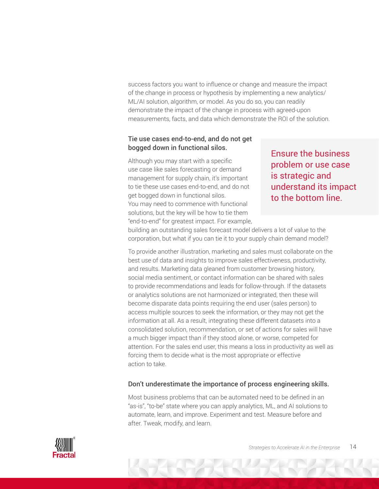success factors you want to influence or change and measure the impact of the change in process or hypothesis by implementing a new analytics/ ML/AI solution, algorithm, or model. As you do so, you can readily demonstrate the impact of the change in process with agreed-upon measurements, facts, and data which demonstrate the ROI of the solution.

#### Tie use cases end-to-end, and do not get bogged down in functional silos.

Although you may start with a specific use case like sales forecasting or demand management for supply chain, it's important to tie these use cases end-to-end, and do not get bogged down in functional silos. You may need to commence with functional solutions, but the key will be how to tie them "end-to-end" for greatest impact. For example,

Ensure the business problem or use case is strategic and understand its impact to the bottom line.

building an outstanding sales forecast model delivers a lot of value to the corporation, but what if you can tie it to your supply chain demand model?

To provide another illustration, marketing and sales must collaborate on the best use of data and insights to improve sales effectiveness, productivity, and results. Marketing data gleaned from customer browsing history, social media sentiment, or contact information can be shared with sales to provide recommendations and leads for follow-through. If the datasets or analytics solutions are not harmonized or integrated, then these will become disparate data points requiring the end user (sales person) to access multiple sources to seek the information, or they may not get the information at all. As a result, integrating these different datasets into a consolidated solution, recommendation, or set of actions for sales will have a much bigger impact than if they stood alone, or worse, competed for attention. For the sales end user, this means a loss in productivity as well as forcing them to decide what is the most appropriate or effective action to take.

#### Don't underestimate the importance of process engineering skills.

Most business problems that can be automated need to be defined in an "as-is", "to-be" state where you can apply analytics, ML, and AI solutions to automate, learn, and improve. Experiment and test. Measure before and after. Tweak, modify, and learn.

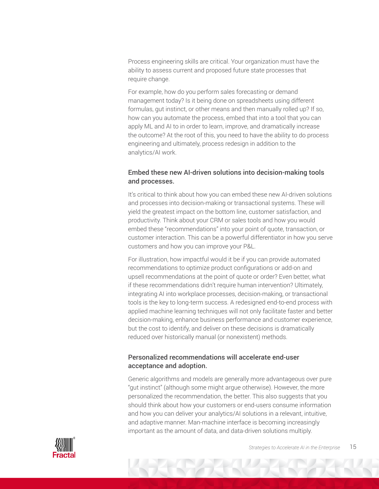Process engineering skills are critical. Your organization must have the ability to assess current and proposed future state processes that require change.

For example, how do you perform sales forecasting or demand management today? Is it being done on spreadsheets using different formulas, gut instinct, or other means and then manually rolled up? If so, how can you automate the process, embed that into a tool that you can apply ML and AI to in order to learn, improve, and dramatically increase the outcome? At the root of this, you need to have the ability to do process engineering and ultimately, process redesign in addition to the analytics/AI work.

#### Embed these new AI-driven solutions into decision-making tools and processes.

It's critical to think about how you can embed these new AI-driven solutions and processes into decision-making or transactional systems. These will yield the greatest impact on the bottom line, customer satisfaction, and productivity. Think about your CRM or sales tools and how you would embed these "recommendations" into your point of quote, transaction, or customer interaction. This can be a powerful differentiator in how you serve customers and how you can improve your P&L.

For illustration, how impactful would it be if you can provide automated recommendations to optimize product configurations or add-on and upsell recommendations at the point of quote or order? Even better, what if these recommendations didn't require human intervention? Ultimately, integrating AI into workplace processes, decision-making, or transactional tools is the key to long-term success. A redesigned end-to-end process with applied machine learning techniques will not only facilitate faster and better decision-making, enhance business performance and customer experience, but the cost to identify, and deliver on these decisions is dramatically reduced over historically manual (or nonexistent) methods.

#### Personalized recommendations will accelerate end-user acceptance and adoption.

Generic algorithms and models are generally more advantageous over pure "gut instinct" (although some might argue otherwise). However, the more personalized the recommendation, the better. This also suggests that you should think about how your customers or end-users consume information and how you can deliver your analytics/AI solutions in a relevant, intuitive, and adaptive manner. Man-machine interface is becoming increasingly important as the amount of data, and data-driven solutions multiply.

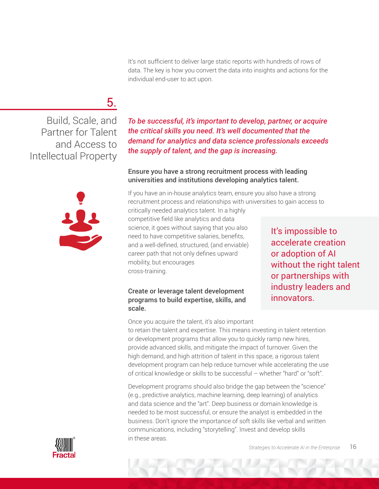It's not sufficient to deliver large static reports with hundreds of rows of data. The key is how you convert the data into insights and actions for the individual end-user to act upon.

# 5.

Build, Scale, and Partner for Talent and Access to Intellectual Property



*To be successful, it's important to develop, partner, or acquire the critical skills you need. It's well documented that the demand for analytics and data science professionals exceeds the supply of talent, and the gap is increasing.*

#### Ensure you have a strong recruitment process with leading universities and institutions developing analytics talent.

If you have an in-house analytics team, ensure you also have a strong recruitment process and relationships with universities to gain access to critically needed analytics talent. In a highly

competitive field like analytics and data science, it goes without saying that you also need to have competitive salaries, benefits, and a well-defined, structured, (and enviable) career path that not only defines upward mobility, but encourages cross-training.

#### Create or leverage talent development programs to build expertise, skills, and scale.

It's impossible to accelerate creation or adoption of AI without the right talent or partnerships with industry leaders and innovators.

Once you acquire the talent, it's also important

to retain the talent and expertise. This means investing in talent retention or development programs that allow you to quickly ramp new hires, provide advanced skills, and mitigate the impact of turnover. Given the high demand, and high attrition of talent in this space, a rigorous talent development program can help reduce turnover while accelerating the use of critical knowledge or skills to be successful – whether "hard" or "soft".

Development programs should also bridge the gap between the "science" (e.g., predictive analytics, machine learning, deep learning) of analytics and data science and the "art". Deep business or domain knowledge is needed to be most successful, or ensure the analyst is embedded in the business. Don't ignore the importance of soft skills like verbal and written communications, including "storytelling". Invest and develop skills in these areas.

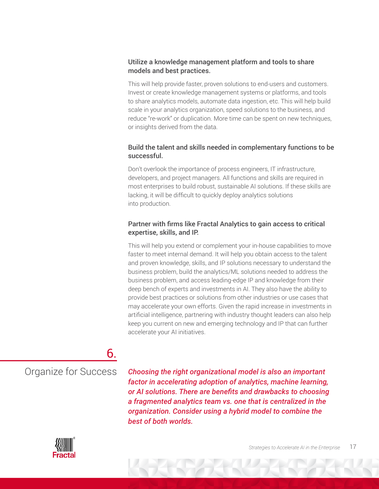#### Utilize a knowledge management platform and tools to share models and best practices.

This will help provide faster, proven solutions to end-users and customers. Invest or create knowledge management systems or platforms, and tools to share analytics models, automate data ingestion, etc. This will help build scale in your analytics organization, speed solutions to the business, and reduce "re-work" or duplication. More time can be spent on new techniques, or insights derived from the data.

#### Build the talent and skills needed in complementary functions to be successful.

Don't overlook the importance of process engineers, IT infrastructure, developers, and project managers. All functions and skills are required in most enterprises to build robust, sustainable AI solutions. If these skills are lacking, it will be difficult to quickly deploy analytics solutions into production.

#### Partner with firms like Fractal Analytics to gain access to critical expertise, skills, and IP.

This will help you extend or complement your in-house capabilities to move faster to meet internal demand. It will help you obtain access to the talent and proven knowledge, skills, and IP solutions necessary to understand the business problem, build the analytics/ML solutions needed to address the business problem, and access leading-edge IP and knowledge from their deep bench of experts and investments in AI. They also have the ability to provide best practices or solutions from other industries or use cases that may accelerate your own efforts. Given the rapid increase in investments in artificial intelligence, partnering with industry thought leaders can also help keep you current on new and emerging technology and IP that can further accelerate your AI initiatives.

### 6.

Organize for Success

*Choosing the right organizational model is also an important factor in accelerating adoption of analytics, machine learning, or AI solutions. There are benefits and drawbacks to choosing a fragmented analytics team vs. one that is centralized in the organization. Consider using a hybrid model to combine the best of both worlds.*

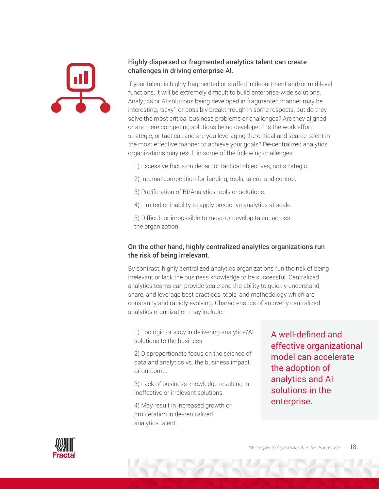

#### Highly dispersed or fragmented analytics talent can create challenges in driving enterprise AI.

If your talent is highly fragmented or staffed in department and/or mid-level functions, it will be extremely difficult to build enterprise-wide solutions. Analytics or AI solutions being developed in fragmented manner may be interesting, "sexy", or possibly breakthrough in some respects, but do they solve the most critical business problems or challenges? Are they aligned or are there competing solutions being developed? Is the work effort strategic, or tactical, and are you leveraging the critical and scarce talent in the most effective manner to achieve your goals? De-centralized analytics organizations may result in some of the following challenges:

- 1) Excessive focus on depart or tactical objectives, not strategic.
- 2) Internal competition for funding, tools, talent, and control.
- 3) Proliferation of BI/Analytics tools or solutions.
- 4) Limited or inability to apply predictive analytics at scale.

5) Difficult or impossible to move or develop talent across the organization.

#### On the other hand, highly centralized analytics organizations run the risk of being irrelevant.

By contrast, highly centralized analytics organizations run the risk of being irrelevant or lack the business knowledge to be successful. Centralized analytics teams can provide scale and the ability to quickly understand, share, and leverage best practices, tools, and methodology which are constantly and rapidly evolving. Characteristics of an overly centralized analytics organization may include:

1) Too rigid or slow in delivering analytics/AI solutions to the business.

2) Disproportionate focus on the science of data and analytics vs. the business impact or outcome.

3) Lack of business knowledge resulting in ineffective or irrelevant solutions.

4) May result in increased growth or proliferation in de-centralized analytics talent.

A well-defined and effective organizational model can accelerate the adoption of analytics and AI solutions in the enterprise.

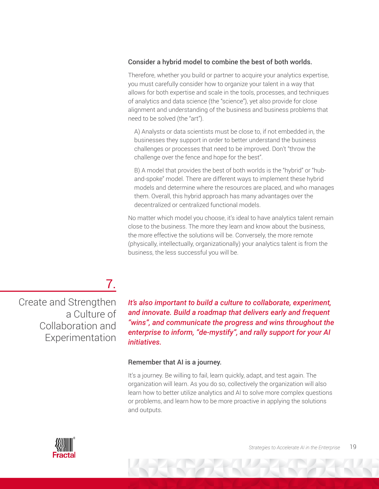#### Consider a hybrid model to combine the best of both worlds.

Therefore, whether you build or partner to acquire your analytics expertise, you must carefully consider how to organize your talent in a way that allows for both expertise and scale in the tools, processes, and techniques of analytics and data science (the "science"), yet also provide for close alignment and understanding of the business and business problems that need to be solved (the "art").

A) Analysts or data scientists must be close to, if not embedded in, the businesses they support in order to better understand the business challenges or processes that need to be improved. Don't "throw the challenge over the fence and hope for the best".

B) A model that provides the best of both worlds is the "hybrid" or "huband-spoke" model. There are different ways to implement these hybrid models and determine where the resources are placed, and who manages them. Overall, this hybrid approach has many advantages over the decentralized or centralized functional models.

No matter which model you choose, it's ideal to have analytics talent remain close to the business. The more they learn and know about the business, the more effective the solutions will be. Conversely, the more remote (physically, intellectually, organizationally) your analytics talent is from the business, the less successful you will be.

## 7.

Create and Strengthen a Culture of Collaboration and Experimentation

*It's also important to build a culture to collaborate, experiment, and innovate. Build a roadmap that delivers early and frequent "wins", and communicate the progress and wins throughout the enterprise to inform, "de-mystify", and rally support for your AI initiatives.*

#### Remember that AI is a journey.

It's a journey. Be willing to fail, learn quickly, adapt, and test again. The organization will learn. As you do so, collectively the organization will also learn how to better utilize analytics and AI to solve more complex questions or problems, and learn how to be more proactive in applying the solutions and outputs.

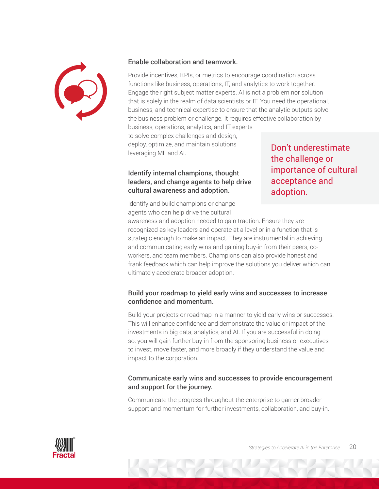

#### Enable collaboration and teamwork.

Provide incentives, KPIs, or metrics to encourage coordination across functions like business, operations, IT, and analytics to work together. Engage the right subject matter experts. AI is not a problem nor solution that is solely in the realm of data scientists or IT. You need the operational, business, and technical expertise to ensure that the analytic outputs solve the business problem or challenge. It requires effective collaboration by business, operations, analytics, and IT experts to solve complex challenges and design,

deploy, optimize, and maintain solutions leveraging ML and AI.

#### Identify internal champions, thought leaders, and change agents to help drive cultural awareness and adoption.

Don't underestimate the challenge or importance of cultural acceptance and adoption.

Identify and build champions or change agents who can help drive the cultural

awareness and adoption needed to gain traction. Ensure they are recognized as key leaders and operate at a level or in a function that is strategic enough to make an impact. They are instrumental in achieving and communicating early wins and gaining buy-in from their peers, coworkers, and team members. Champions can also provide honest and frank feedback which can help improve the solutions you deliver which can ultimately accelerate broader adoption.

#### Build your roadmap to yield early wins and successes to increase confidence and momentum.

Build your projects or roadmap in a manner to yield early wins or successes. This will enhance confidence and demonstrate the value or impact of the investments in big data, analytics, and AI. If you are successful in doing so, you will gain further buy-in from the sponsoring business or executives to invest, move faster, and more broadly if they understand the value and impact to the corporation.

#### Communicate early wins and successes to provide encouragement and support for the journey.

Communicate the progress throughout the enterprise to garner broader support and momentum for further investments, collaboration, and buy-in.

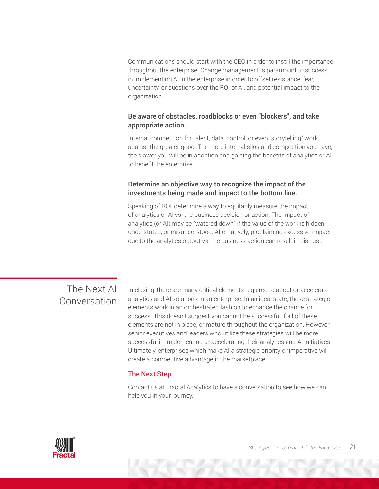Communications should start with the CEO in order to instill the importance throughout the enterprise. Change management is paramount to success in implementing AI in the enterprise in order to offset resistance, fear, uncertainty, or questions over the ROI of AI, and potential impact to the organization.

#### Be aware of obstacles, roadblocks or even "blockers", and take appropriate action.

Internal competition for talent, data, control, or even "storytelling" work against the greater good. The more internal silos and competition you have, the slower you will be in adoption and gaining the benefits of analytics or AI to benefit the enterprise.

#### Determine an objective way to recognize the impact of the investments being made and impact to the bottom line.

Speaking of ROI, determine a way to equitably measure the impact of analytics or AI vs. the business decision or action. The impact of analytics (or AI) may be "watered down" if the value of the work is hidden, understated, or misunderstood. Alternatively, proclaiming excessive impact due to the analytics output vs. the business action can result in distrust.

### The Next AI Conversation

In closing, there are many critical elements required to adopt or accelerate analytics and AI solutions in an enterprise. In an ideal state, these strategic elements work in an orchestrated fashion to enhance the chance for success. This doesn't suggest you cannot be successful if all of these elements are not in place, or mature throughout the organization. However, senior executives and leaders who utilize these strategies will be more successful in implementing or accelerating their analytics and AI initiatives. Ultimately, enterprises which make AI a strategic priority or imperative will create a competitive advantage in the marketplace.

#### The Next Step

Contact us at Fractal Analytics to have a conversation to see how we can help you in your journey.